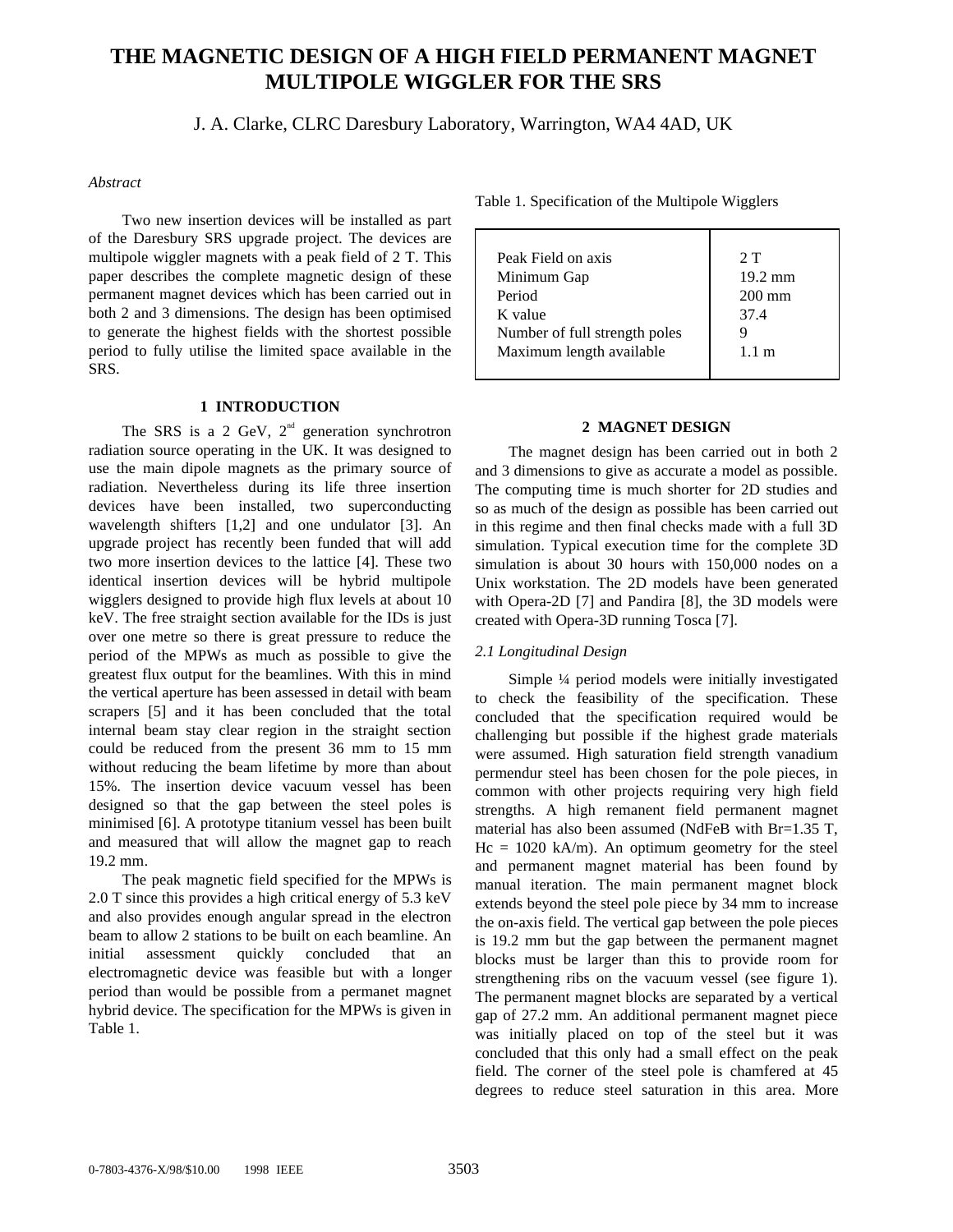# **THE MAGNETIC DESIGN OF A HIGH FIELD PERMANENT MAGNET MULTIPOLE WIGGLER FOR THE SRS**

J. A. Clarke, CLRC Daresbury Laboratory, Warrington, WA4 4AD, UK

# *Abstract*

Two new insertion devices will be installed as part of the Daresbury SRS upgrade project. The devices are multipole wiggler magnets with a peak field of 2 T. This paper describes the complete magnetic design of these permanent magnet devices which has been carried out in both 2 and 3 dimensions. The design has been optimised to generate the highest fields with the shortest possible period to fully utilise the limited space available in the SRS.

## **1 INTRODUCTION**

The SRS is a 2 GeV,  $2<sup>nd</sup>$  generation synchrotron radiation source operating in the UK. It was designed to use the main dipole magnets as the primary source of radiation. Nevertheless during its life three insertion devices have been installed, two superconducting wavelength shifters [1,2] and one undulator [3]. An upgrade project has recently been funded that will add two more insertion devices to the lattice [4]. These two identical insertion devices will be hybrid multipole wigglers designed to provide high flux levels at about 10 keV. The free straight section available for the IDs is just over one metre so there is great pressure to reduce the period of the MPWs as much as possible to give the greatest flux output for the beamlines. With this in mind the vertical aperture has been assessed in detail with beam scrapers [5] and it has been concluded that the total internal beam stay clear region in the straight section could be reduced from the present 36 mm to 15 mm without reducing the beam lifetime by more than about 15%. The insertion device vacuum vessel has been designed so that the gap between the steel poles is minimised [6]. A prototype titanium vessel has been built and measured that will allow the magnet gap to reach 19.2 mm.

The peak magnetic field specified for the MPWs is 2.0 T since this provides a high critical energy of 5.3 keV and also provides enough angular spread in the electron beam to allow 2 stations to be built on each beamline. An initial assessment quickly concluded that an electromagnetic device was feasible but with a longer period than would be possible from a permanet magnet hybrid device. The specification for the MPWs is given in Table 1.

Table 1. Specification of the Multipole Wigglers

| Peak Field on axis            | 2T                |
|-------------------------------|-------------------|
| Minimum Gap                   | $19.2 \text{ mm}$ |
| Period                        | $200 \text{ mm}$  |
| K value                       | 37.4              |
| Number of full strength poles |                   |
| Maximum length available      | $1.1 \text{ m}$   |
|                               |                   |

# **2 MAGNET DESIGN**

The magnet design has been carried out in both 2 and 3 dimensions to give as accurate a model as possible. The computing time is much shorter for 2D studies and so as much of the design as possible has been carried out in this regime and then final checks made with a full 3D simulation. Typical execution time for the complete 3D simulation is about 30 hours with 150,000 nodes on a Unix workstation. The 2D models have been generated with Opera-2D [7] and Pandira [8], the 3D models were created with Opera-3D running Tosca [7].

# *2.1 Longitudinal Design*

Simple ¼ period models were initially investigated to check the feasibility of the specification. These concluded that the specification required would be challenging but possible if the highest grade materials were assumed. High saturation field strength vanadium permendur steel has been chosen for the pole pieces, in common with other projects requiring very high field strengths. A high remanent field permanent magnet material has also been assumed (NdFeB with Br=1.35 T,  $Hc = 1020$  kA/m). An optimum geometry for the steel and permanent magnet material has been found by manual iteration. The main permanent magnet block extends beyond the steel pole piece by 34 mm to increase the on-axis field. The vertical gap between the pole pieces is 19.2 mm but the gap between the permanent magnet blocks must be larger than this to provide room for strengthening ribs on the vacuum vessel (see figure 1). The permanent magnet blocks are separated by a vertical gap of 27.2 mm. An additional permanent magnet piece was initially placed on top of the steel but it was concluded that this only had a small effect on the peak field. The corner of the steel pole is chamfered at 45 degrees to reduce steel saturation in this area. More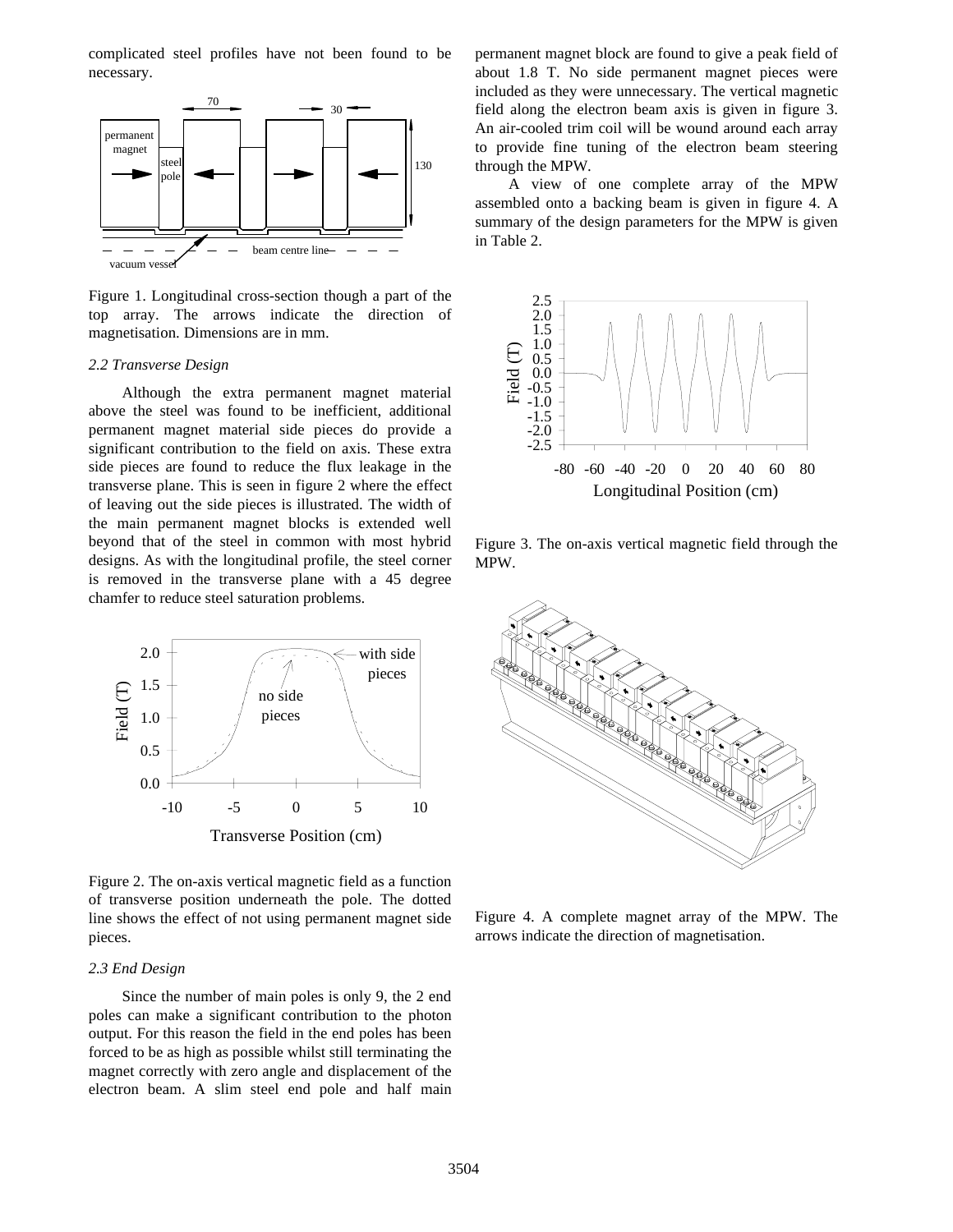complicated steel profiles have not been found to be necessary.



Figure 1. Longitudinal cross-section though a part of the top array. The arrows indicate the direction of magnetisation. Dimensions are in mm.

#### *2.2 Transverse Design*

Although the extra permanent magnet material above the steel was found to be inefficient, additional permanent magnet material side pieces do provide a significant contribution to the field on axis. These extra side pieces are found to reduce the flux leakage in the transverse plane. This is seen in figure 2 where the effect of leaving out the side pieces is illustrated. The width of the main permanent magnet blocks is extended well beyond that of the steel in common with most hybrid designs. As with the longitudinal profile, the steel corner is removed in the transverse plane with a 45 degree chamfer to reduce steel saturation problems.



Figure 2. The on-axis vertical magnetic field as a function of transverse position underneath the pole. The dotted line shows the effect of not using permanent magnet side pieces.

## *2.3 End Design*

Since the number of main poles is only 9, the 2 end poles can make a significant contribution to the photon output. For this reason the field in the end poles has been forced to be as high as possible whilst still terminating the magnet correctly with zero angle and displacement of the electron beam. A slim steel end pole and half main permanent magnet block are found to give a peak field of about 1.8 T. No side permanent magnet pieces were included as they were unnecessary. The vertical magnetic field along the electron beam axis is given in figure 3. An air-cooled trim coil will be wound around each array to provide fine tuning of the electron beam steering through the MPW.

A view of one complete array of the MPW assembled onto a backing beam is given in figure 4. A summary of the design parameters for the MPW is given in Table 2.



Figure 3. The on-axis vertical magnetic field through the MPW.



Figure 4. A complete magnet array of the MPW. The arrows indicate the direction of magnetisation.